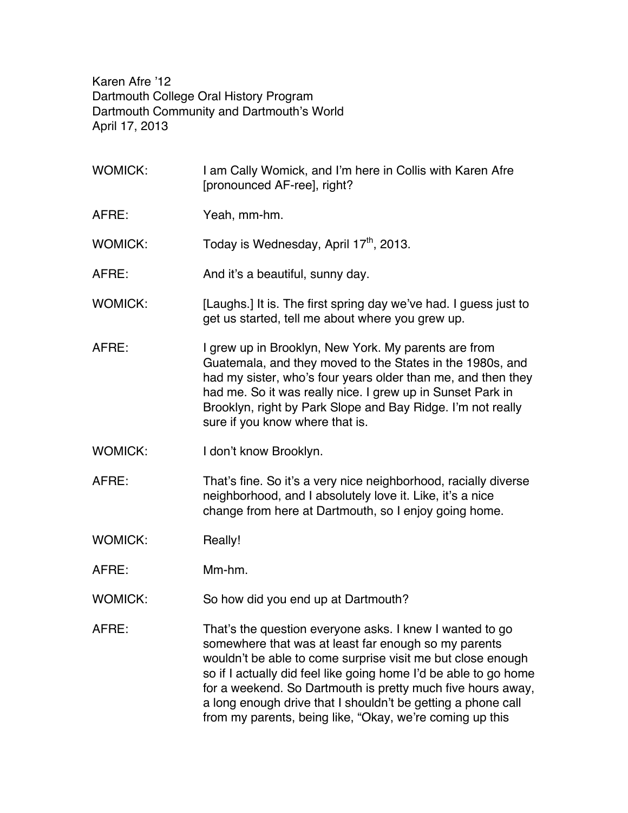Karen Afre '12 Dartmouth College Oral History Program Dartmouth Community and Dartmouth's World April 17, 2013

WOMICK: I am Cally Womick, and I'm here in Collis with Karen Afre [pronounced AF-ree], right? AFRE: Yeah, mm-hm. WOMICK: Today is Wednesday, April  $17<sup>th</sup>$ , 2013. AFRE: And it's a beautiful, sunny day. WOMICK: [Laughs.] It is. The first spring day we've had. I guess just to get us started, tell me about where you grew up. AFRE: I grew up in Brooklyn, New York. My parents are from Guatemala, and they moved to the States in the 1980s, and had my sister, who's four years older than me, and then they had me. So it was really nice. I grew up in Sunset Park in Brooklyn, right by Park Slope and Bay Ridge. I'm not really sure if you know where that is. WOMICK: I don't know Brooklyn. AFRE: That's fine. So it's a very nice neighborhood, racially diverse neighborhood, and I absolutely love it. Like, it's a nice change from here at Dartmouth, so I enjoy going home. WOMICK: Really! AFRE: Mm-hm. WOMICK: So how did you end up at Dartmouth? AFRE: That's the question everyone asks. I knew I wanted to go somewhere that was at least far enough so my parents wouldn't be able to come surprise visit me but close enough so if I actually did feel like going home I'd be able to go home for a weekend. So Dartmouth is pretty much five hours away, a long enough drive that I shouldn't be getting a phone call from my parents, being like, "Okay, we're coming up this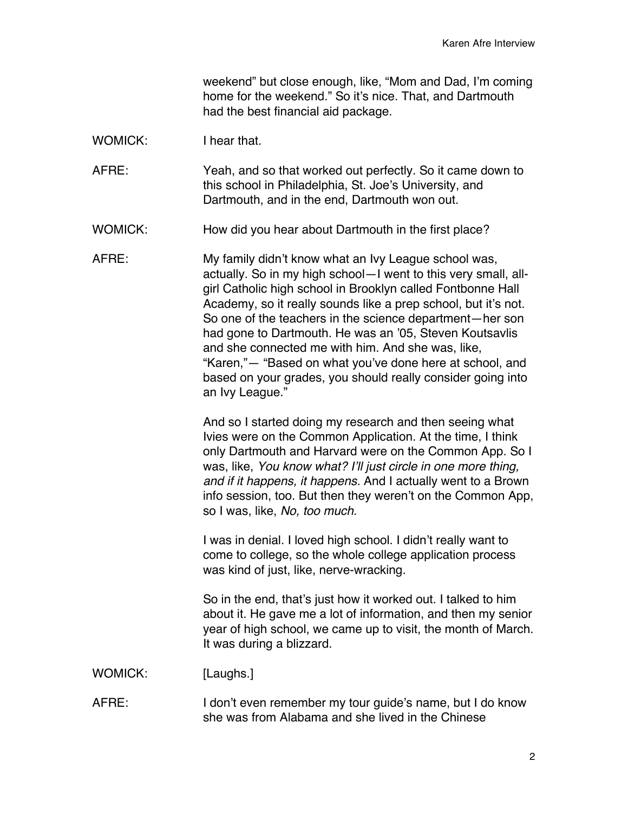weekend" but close enough, like, "Mom and Dad, I'm coming home for the weekend." So it's nice. That, and Dartmouth had the best financial aid package.

WOMICK: I hear that.

AFRE: Yeah, and so that worked out perfectly. So it came down to this school in Philadelphia, St. Joe's University, and Dartmouth, and in the end, Dartmouth won out.

WOMICK: How did you hear about Dartmouth in the first place?

AFRE: My family didn't know what an Ivy League school was, actually. So in my high school—I went to this very small, allgirl Catholic high school in Brooklyn called Fontbonne Hall Academy, so it really sounds like a prep school, but it's not. So one of the teachers in the science department—her son had gone to Dartmouth. He was an '05, Steven Koutsavlis and she connected me with him. And she was, like, "Karen,"— "Based on what you've done here at school, and based on your grades, you should really consider going into an Ivy League."

> And so I started doing my research and then seeing what Ivies were on the Common Application. At the time, I think only Dartmouth and Harvard were on the Common App. So I was, like, *You know what? I'll just circle in one more thing, and if it happens, it happens.* And I actually went to a Brown info session, too. But then they weren't on the Common App, so I was, like, *No, too much.*

I was in denial. I loved high school. I didn't really want to come to college, so the whole college application process was kind of just, like, nerve-wracking.

So in the end, that's just how it worked out. I talked to him about it. He gave me a lot of information, and then my senior year of high school, we came up to visit, the month of March. It was during a blizzard.

WOMICK: [Laughs.]

AFRE: I don't even remember my tour guide's name, but I do know she was from Alabama and she lived in the Chinese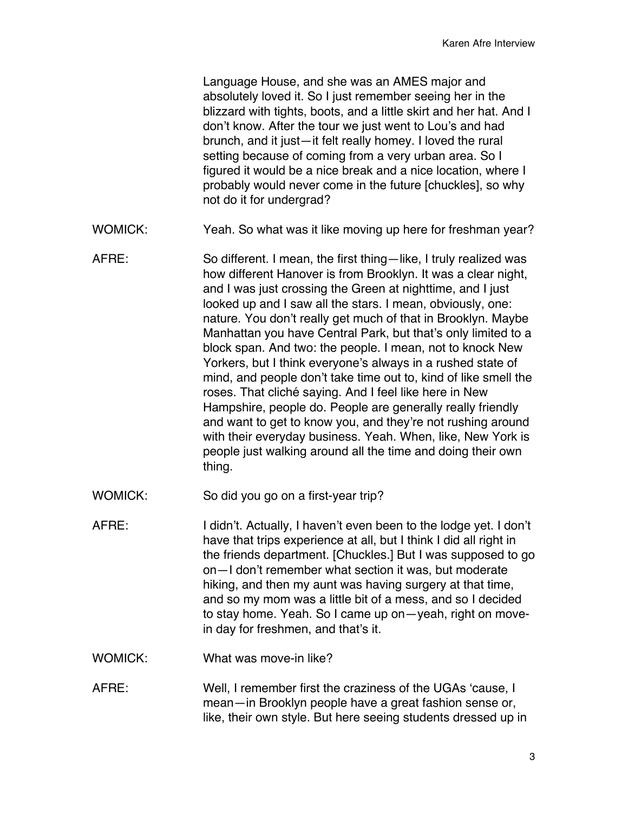Language House, and she was an AMES major and absolutely loved it. So I just remember seeing her in the blizzard with tights, boots, and a little skirt and her hat. And I don't know. After the tour we just went to Lou's and had brunch, and it just—it felt really homey. I loved the rural setting because of coming from a very urban area. So I figured it would be a nice break and a nice location, where I probably would never come in the future [chuckles], so why not do it for undergrad?

- WOMICK: Yeah. So what was it like moving up here for freshman year?
- AFRE: So different. I mean, the first thing—like, I truly realized was how different Hanover is from Brooklyn. It was a clear night, and I was just crossing the Green at nighttime, and I just looked up and I saw all the stars. I mean, obviously, one: nature. You don't really get much of that in Brooklyn. Maybe Manhattan you have Central Park, but that's only limited to a block span. And two: the people. I mean, not to knock New Yorkers, but I think everyone's always in a rushed state of mind, and people don't take time out to, kind of like smell the roses. That cliché saying. And I feel like here in New Hampshire, people do. People are generally really friendly and want to get to know you, and they're not rushing around with their everyday business. Yeah. When, like, New York is people just walking around all the time and doing their own thing.
- WOMICK: So did you go on a first-year trip?
- AFRE: I didn't. Actually, I haven't even been to the lodge yet. I don't have that trips experience at all, but I think I did all right in the friends department. [Chuckles.] But I was supposed to go on—I don't remember what section it was, but moderate hiking, and then my aunt was having surgery at that time, and so my mom was a little bit of a mess, and so I decided to stay home. Yeah. So I came up on—yeah, right on movein day for freshmen, and that's it.
- WOMICK: What was move-in like?
- AFRE: Well, I remember first the craziness of the UGAs 'cause, I mean—in Brooklyn people have a great fashion sense or, like, their own style. But here seeing students dressed up in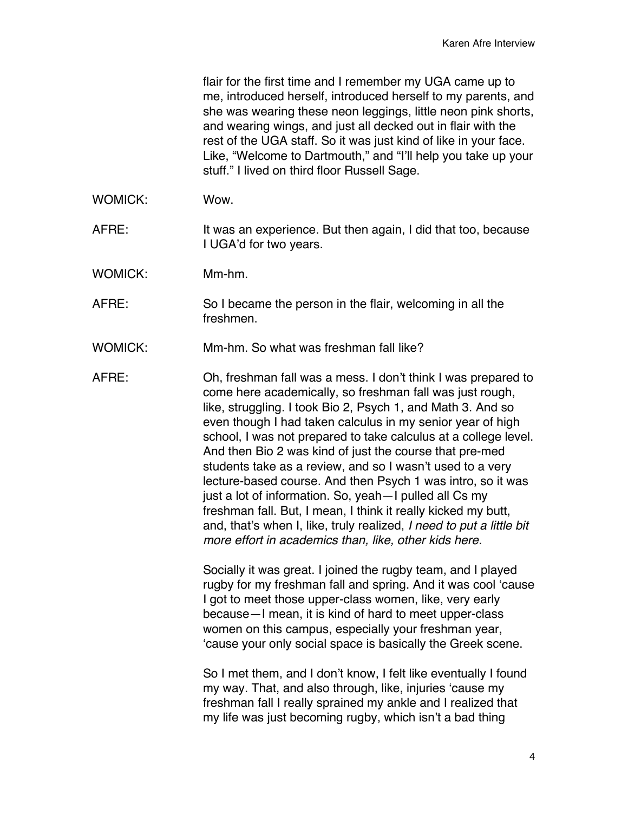flair for the first time and I remember my UGA came up to me, introduced herself, introduced herself to my parents, and she was wearing these neon leggings, little neon pink shorts, and wearing wings, and just all decked out in flair with the rest of the UGA staff. So it was just kind of like in your face. Like, "Welcome to Dartmouth," and "I'll help you take up your stuff." I lived on third floor Russell Sage.

- WOMICK: Wow.
- AFRE: It was an experience. But then again, I did that too, because I UGA'd for two years.
- WOMICK: Mm-hm.
- AFRE: So I became the person in the flair, welcoming in all the freshmen.
- WOMICK: Mm-hm. So what was freshman fall like?

AFRE: Oh, freshman fall was a mess. I don't think I was prepared to come here academically, so freshman fall was just rough, like, struggling. I took Bio 2, Psych 1, and Math 3. And so even though I had taken calculus in my senior year of high school, I was not prepared to take calculus at a college level. And then Bio 2 was kind of just the course that pre-med students take as a review, and so I wasn't used to a very lecture-based course. And then Psych 1 was intro, so it was just a lot of information. So, yeah—I pulled all Cs my freshman fall. But, I mean, I think it really kicked my butt, and, that's when I, like, truly realized, *I need to put a little bit more effort in academics than, like, other kids here.*

> Socially it was great. I joined the rugby team, and I played rugby for my freshman fall and spring. And it was cool 'cause I got to meet those upper-class women, like, very early because—I mean, it is kind of hard to meet upper-class women on this campus, especially your freshman year, 'cause your only social space is basically the Greek scene.

So I met them, and I don't know, I felt like eventually I found my way. That, and also through, like, injuries 'cause my freshman fall I really sprained my ankle and I realized that my life was just becoming rugby, which isn't a bad thing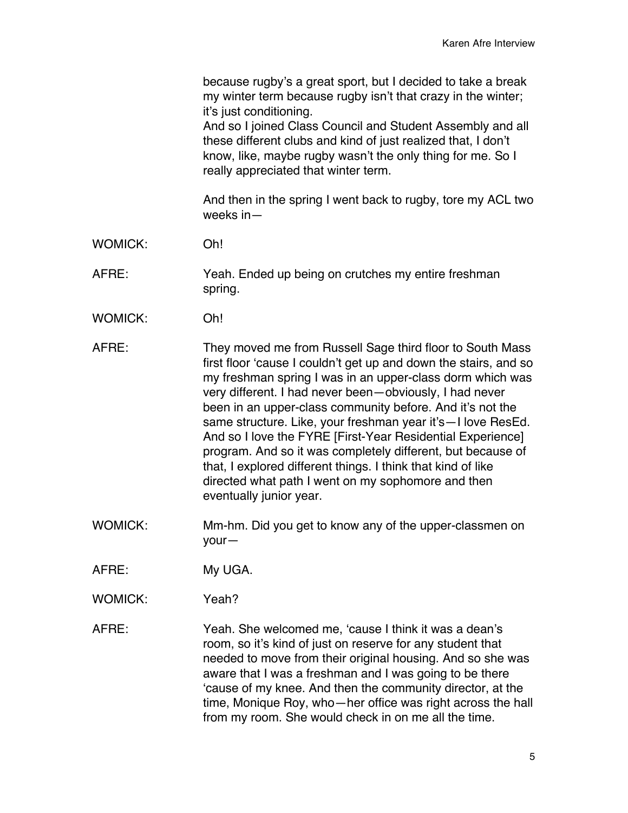because rugby's a great sport, but I decided to take a break my winter term because rugby isn't that crazy in the winter; it's just conditioning. And so I joined Class Council and Student Assembly and all these different clubs and kind of just realized that, I don't know, like, maybe rugby wasn't the only thing for me. So I really appreciated that winter term. And then in the spring I went back to rugby, tore my ACL two weeks in— WOMICK: Oh! AFRE: Yeah. Ended up being on crutches my entire freshman spring. WOMICK: Oh! AFRE: They moved me from Russell Sage third floor to South Mass first floor 'cause I couldn't get up and down the stairs, and so my freshman spring I was in an upper-class dorm which was very different. I had never been—obviously, I had never been in an upper-class community before. And it's not the same structure. Like, your freshman year it's—I love ResEd. And so I love the FYRE [First-Year Residential Experience] program. And so it was completely different, but because of that, I explored different things. I think that kind of like directed what path I went on my sophomore and then eventually junior year.

WOMICK: Mm-hm. Did you get to know any of the upper-classmen on your—

AFRE: My UGA.

WOMICK: Yeah?

AFRE: Yeah. She welcomed me, 'cause I think it was a dean's room, so it's kind of just on reserve for any student that needed to move from their original housing. And so she was aware that I was a freshman and I was going to be there 'cause of my knee. And then the community director, at the time, Monique Roy, who—her office was right across the hall from my room. She would check in on me all the time.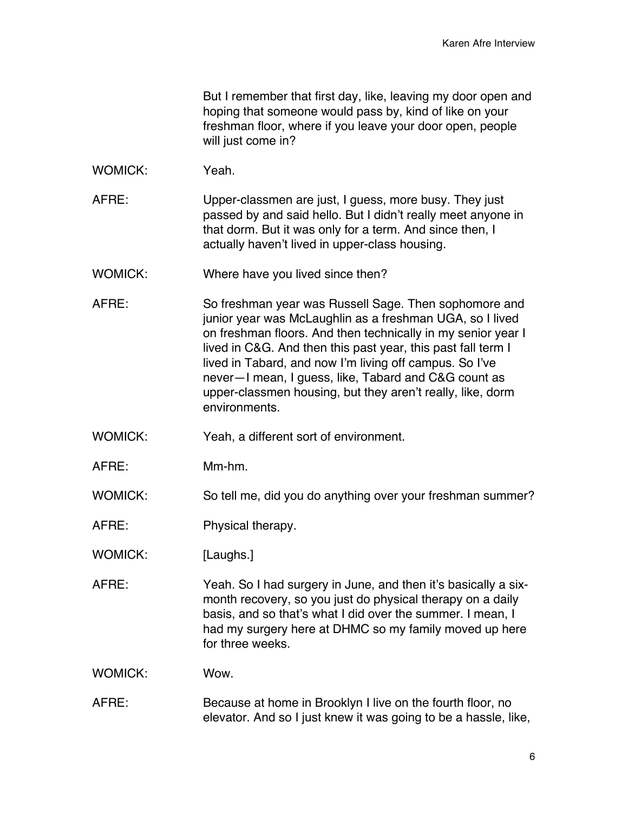But I remember that first day, like, leaving my door open and hoping that someone would pass by, kind of like on your freshman floor, where if you leave your door open, people will just come in?

- WOMICK: Yeah.
- AFRE: Upper-classmen are just, I guess, more busy. They just passed by and said hello. But I didn't really meet anyone in that dorm. But it was only for a term. And since then, I actually haven't lived in upper-class housing.
- WOMICK: Where have you lived since then?
- AFRE: So freshman year was Russell Sage. Then sophomore and junior year was McLaughlin as a freshman UGA, so I lived on freshman floors. And then technically in my senior year I lived in C&G. And then this past year, this past fall term I lived in Tabard, and now I'm living off campus. So I've never—I mean, I guess, like, Tabard and C&G count as upper-classmen housing, but they aren't really, like, dorm environments.
- WOMICK: Yeah, a different sort of environment.
- AFRE: Mm-hm.
- WOMICK: So tell me, did you do anything over your freshman summer?
- AFRE: Physical therapy.
- WOMICK: [Laughs.]
- AFRE: Yeah. So I had surgery in June, and then it's basically a sixmonth recovery, so you just do physical therapy on a daily basis, and so that's what I did over the summer. I mean, I had my surgery here at DHMC so my family moved up here for three weeks.

WOMICK: Wow.

AFRE: Because at home in Brooklyn I live on the fourth floor, no elevator. And so I just knew it was going to be a hassle, like,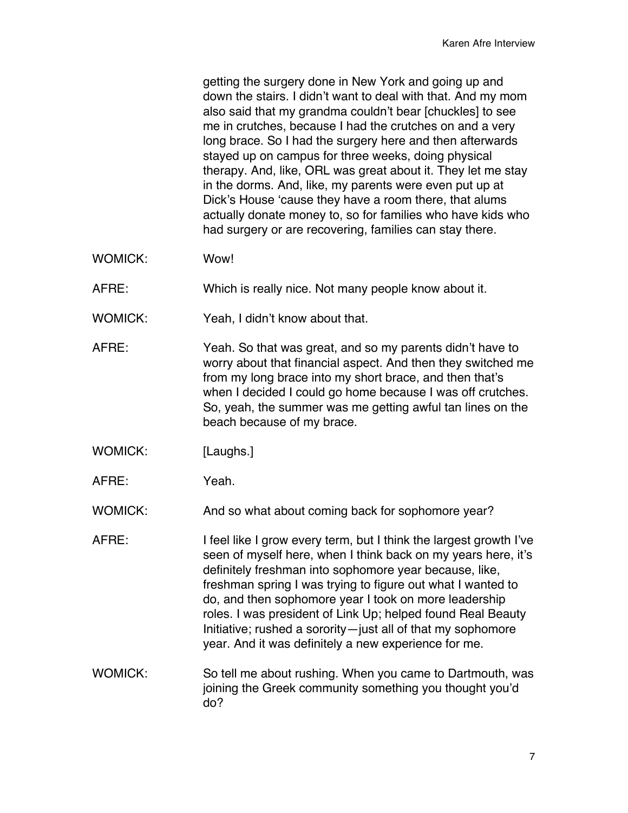getting the surgery done in New York and going up and down the stairs. I didn't want to deal with that. And my mom also said that my grandma couldn't bear [chuckles] to see me in crutches, because I had the crutches on and a very long brace. So I had the surgery here and then afterwards stayed up on campus for three weeks, doing physical therapy. And, like, ORL was great about it. They let me stay in the dorms. And, like, my parents were even put up at Dick's House 'cause they have a room there, that alums actually donate money to, so for families who have kids who had surgery or are recovering, families can stay there.

- WOMICK: Wow!
- AFRE: Which is really nice. Not many people know about it.
- WOMICK: Yeah, I didn't know about that.
- AFRE: Yeah. So that was great, and so my parents didn't have to worry about that financial aspect. And then they switched me from my long brace into my short brace, and then that's when I decided I could go home because I was off crutches. So, yeah, the summer was me getting awful tan lines on the beach because of my brace.
- WOMICK: [Laughs.]
- AFRE: Yeah.

WOMICK: And so what about coming back for sophomore year?

- AFRE: I feel like I grow every term, but I think the largest growth I've seen of myself here, when I think back on my years here, it's definitely freshman into sophomore year because, like, freshman spring I was trying to figure out what I wanted to do, and then sophomore year I took on more leadership roles. I was president of Link Up; helped found Real Beauty Initiative; rushed a sorority—just all of that my sophomore year. And it was definitely a new experience for me.
- WOMICK: So tell me about rushing. When you came to Dartmouth, was joining the Greek community something you thought you'd do?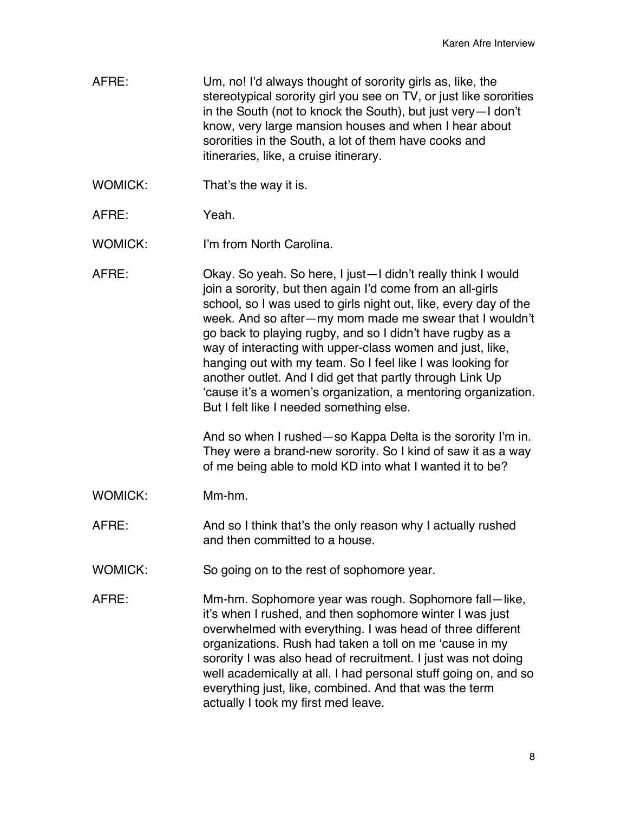- AFRE: Um, no! I'd always thought of sorority girls as, like, the stereotypical sorority girl you see on TV, or just like sororities in the South (not to knock the South), but just very—I don't know, very large mansion houses and when I hear about sororities in the South, a lot of them have cooks and itineraries, like, a cruise itinerary.
- WOMICK: That's the way it is.
- AFRE: Yeah.

WOMICK: I'm from North Carolina.

AFRE: Okay. So yeah. So here, I just—I didn't really think I would join a sorority, but then again I'd come from an all-girls school, so I was used to girls night out, like, every day of the week. And so after—my mom made me swear that I wouldn't go back to playing rugby, and so I didn't have rugby as a way of interacting with upper-class women and just, like, hanging out with my team. So I feel like I was looking for another outlet. And I did get that partly through Link Up 'cause it's a women's organization, a mentoring organization. But I felt like I needed something else.

> And so when I rushed—so Kappa Delta is the sorority I'm in. They were a brand-new sorority. So I kind of saw it as a way of me being able to mold KD into what I wanted it to be?

WOMICK: Mm-hm.

AFRE: And so I think that's the only reason why I actually rushed and then committed to a house.

- WOMICK: So going on to the rest of sophomore year.
- AFRE: Mm-hm. Sophomore year was rough. Sophomore fall—like, it's when I rushed, and then sophomore winter I was just overwhelmed with everything. I was head of three different organizations. Rush had taken a toll on me 'cause in my sorority I was also head of recruitment. I just was not doing well academically at all. I had personal stuff going on, and so everything just, like, combined. And that was the term actually I took my first med leave.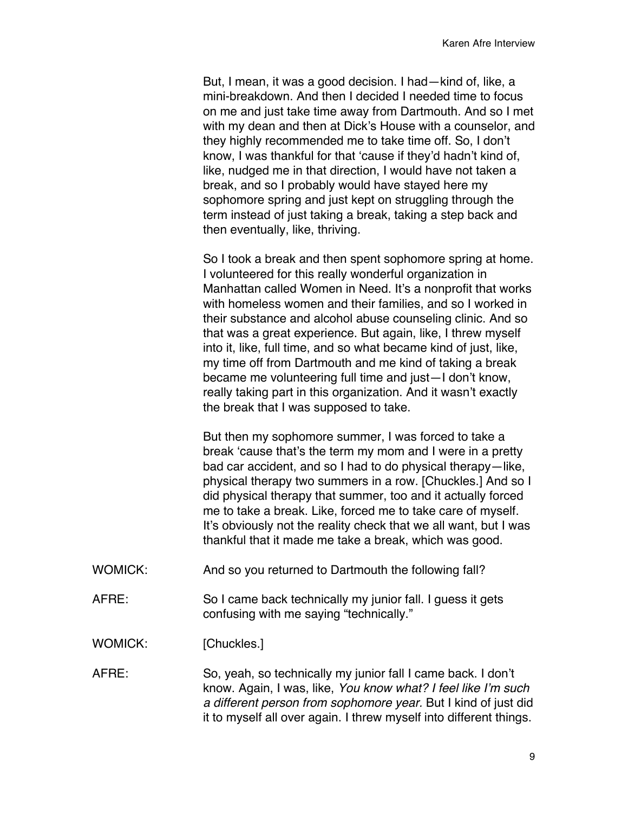But, I mean, it was a good decision. I had—kind of, like, a mini-breakdown. And then I decided I needed time to focus on me and just take time away from Dartmouth. And so I met with my dean and then at Dick's House with a counselor, and they highly recommended me to take time off. So, I don't know, I was thankful for that 'cause if they'd hadn't kind of, like, nudged me in that direction, I would have not taken a break, and so I probably would have stayed here my sophomore spring and just kept on struggling through the term instead of just taking a break, taking a step back and then eventually, like, thriving.

So I took a break and then spent sophomore spring at home. I volunteered for this really wonderful organization in Manhattan called Women in Need. It's a nonprofit that works with homeless women and their families, and so I worked in their substance and alcohol abuse counseling clinic. And so that was a great experience. But again, like, I threw myself into it, like, full time, and so what became kind of just, like, my time off from Dartmouth and me kind of taking a break became me volunteering full time and just—I don't know, really taking part in this organization. And it wasn't exactly the break that I was supposed to take.

But then my sophomore summer, I was forced to take a break 'cause that's the term my mom and I were in a pretty bad car accident, and so I had to do physical therapy—like, physical therapy two summers in a row. [Chuckles.] And so I did physical therapy that summer, too and it actually forced me to take a break. Like, forced me to take care of myself. It's obviously not the reality check that we all want, but I was thankful that it made me take a break, which was good.

- WOMICK: And so you returned to Dartmouth the following fall?
- AFRE: So I came back technically my junior fall. I guess it gets confusing with me saying "technically."

WOMICK: [Chuckles.]

AFRE: So, yeah, so technically my junior fall I came back. I don't know. Again, I was, like, *You know what? I feel like I'm such a different person from sophomore year.* But I kind of just did it to myself all over again. I threw myself into different things.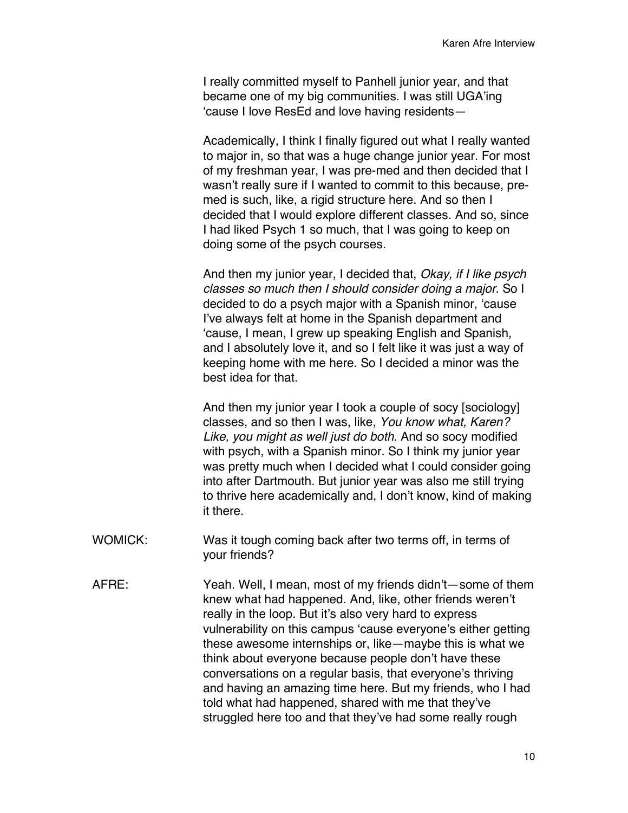I really committed myself to Panhell junior year, and that became one of my big communities. I was still UGA'ing 'cause I love ResEd and love having residents—

Academically, I think I finally figured out what I really wanted to major in, so that was a huge change junior year. For most of my freshman year, I was pre-med and then decided that I wasn't really sure if I wanted to commit to this because, premed is such, like, a rigid structure here. And so then I decided that I would explore different classes. And so, since I had liked Psych 1 so much, that I was going to keep on doing some of the psych courses.

And then my junior year, I decided that, *Okay, if I like psych classes so much then I should consider doing a major*. So I decided to do a psych major with a Spanish minor, 'cause I've always felt at home in the Spanish department and 'cause, I mean, I grew up speaking English and Spanish, and I absolutely love it, and so I felt like it was just a way of keeping home with me here. So I decided a minor was the best idea for that.

And then my junior year I took a couple of socy [sociology] classes, and so then I was, like, *You know what, Karen? Like, you might as well just do both.* And so socy modified with psych, with a Spanish minor. So I think my junior year was pretty much when I decided what I could consider going into after Dartmouth. But junior year was also me still trying to thrive here academically and, I don't know, kind of making it there.

- WOMICK: Was it tough coming back after two terms off, in terms of your friends?
- AFRE: Yeah. Well, I mean, most of my friends didn't—some of them knew what had happened. And, like, other friends weren't really in the loop. But it's also very hard to express vulnerability on this campus 'cause everyone's either getting these awesome internships or, like—maybe this is what we think about everyone because people don't have these conversations on a regular basis, that everyone's thriving and having an amazing time here. But my friends, who I had told what had happened, shared with me that they've struggled here too and that they've had some really rough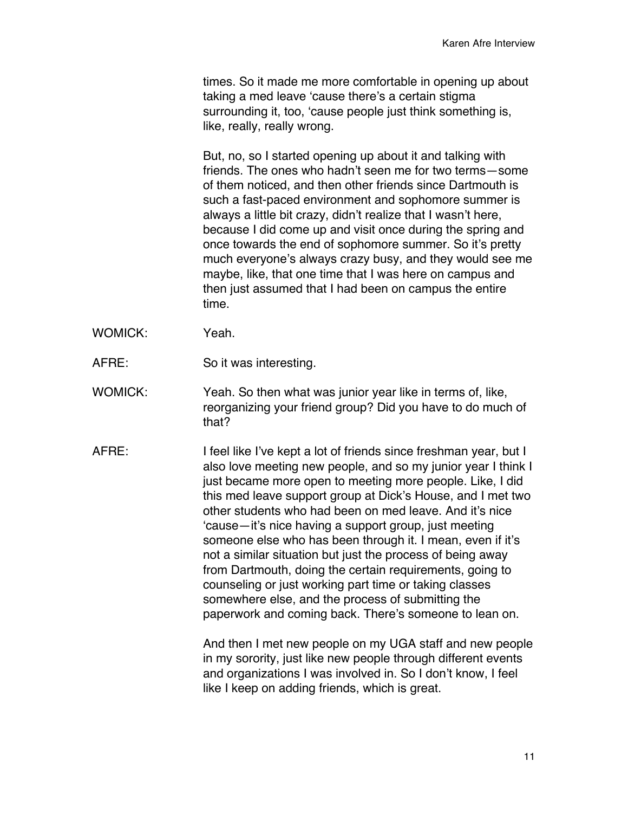times. So it made me more comfortable in opening up about taking a med leave 'cause there's a certain stigma surrounding it, too, 'cause people just think something is, like, really, really wrong.

But, no, so I started opening up about it and talking with friends. The ones who hadn't seen me for two terms—some of them noticed, and then other friends since Dartmouth is such a fast-paced environment and sophomore summer is always a little bit crazy, didn't realize that I wasn't here, because I did come up and visit once during the spring and once towards the end of sophomore summer. So it's pretty much everyone's always crazy busy, and they would see me maybe, like, that one time that I was here on campus and then just assumed that I had been on campus the entire time.

- WOMICK: Yeah.
- AFRE: So it was interesting.
- WOMICK: Yeah. So then what was junior year like in terms of, like, reorganizing your friend group? Did you have to do much of that?
- AFRE: I feel like I've kept a lot of friends since freshman year, but I also love meeting new people, and so my junior year I think I just became more open to meeting more people. Like, I did this med leave support group at Dick's House, and I met two other students who had been on med leave. And it's nice 'cause—it's nice having a support group, just meeting someone else who has been through it. I mean, even if it's not a similar situation but just the process of being away from Dartmouth, doing the certain requirements, going to counseling or just working part time or taking classes somewhere else, and the process of submitting the paperwork and coming back. There's someone to lean on.

And then I met new people on my UGA staff and new people in my sorority, just like new people through different events and organizations I was involved in. So I don't know, I feel like I keep on adding friends, which is great.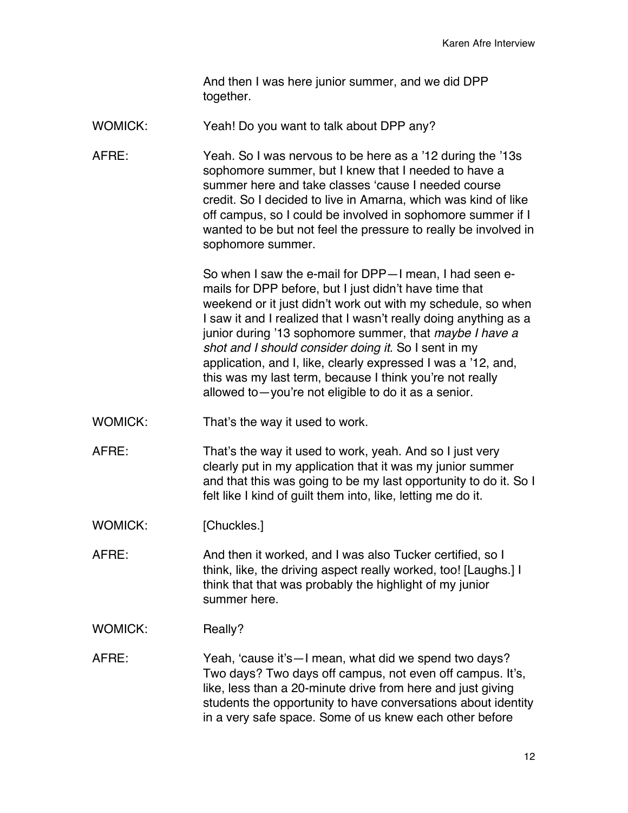And then I was here junior summer, and we did DPP together.

WOMICK: Yeah! Do you want to talk about DPP any?

AFRE: Yeah. So I was nervous to be here as a '12 during the '13s sophomore summer, but I knew that I needed to have a summer here and take classes 'cause I needed course credit. So I decided to live in Amarna, which was kind of like off campus, so I could be involved in sophomore summer if I wanted to be but not feel the pressure to really be involved in sophomore summer.

> So when I saw the e-mail for DPP—I mean, I had seen emails for DPP before, but I just didn't have time that weekend or it just didn't work out with my schedule, so when I saw it and I realized that I wasn't really doing anything as a junior during '13 sophomore summer, that *maybe I have a shot and I should consider doing it*. So I sent in my application, and I, like, clearly expressed I was a '12, and, this was my last term, because I think you're not really allowed to—you're not eligible to do it as a senior.

- WOMICK: That's the way it used to work.
- AFRE: That's the way it used to work, yeah. And so I just very clearly put in my application that it was my junior summer and that this was going to be my last opportunity to do it. So I felt like I kind of guilt them into, like, letting me do it.
- WOMICK: [Chuckles.]
- AFRE: And then it worked, and I was also Tucker certified, so I think, like, the driving aspect really worked, too! [Laughs.] I think that that was probably the highlight of my junior summer here.
- WOMICK: Really?
- AFRE: Yeah, 'cause it's—I mean, what did we spend two days? Two days? Two days off campus, not even off campus. It's, like, less than a 20-minute drive from here and just giving students the opportunity to have conversations about identity in a very safe space. Some of us knew each other before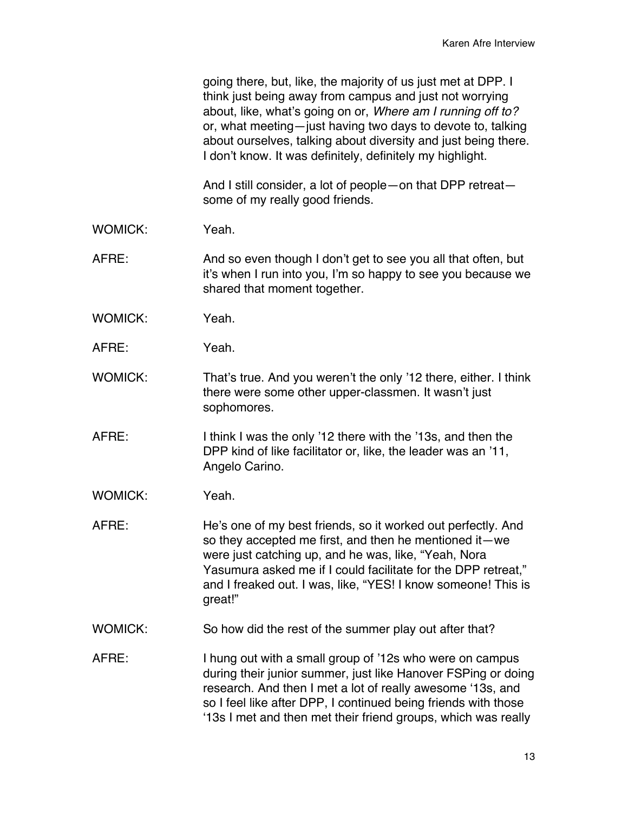|                | going there, but, like, the majority of us just met at DPP. I<br>think just being away from campus and just not worrying<br>about, like, what's going on or, Where am I running off to?<br>or, what meeting-just having two days to devote to, talking<br>about ourselves, talking about diversity and just being there.<br>I don't know. It was definitely, definitely my highlight. |
|----------------|---------------------------------------------------------------------------------------------------------------------------------------------------------------------------------------------------------------------------------------------------------------------------------------------------------------------------------------------------------------------------------------|
|                | And I still consider, a lot of people – on that DPP retreat –<br>some of my really good friends.                                                                                                                                                                                                                                                                                      |
| <b>WOMICK:</b> | Yeah.                                                                                                                                                                                                                                                                                                                                                                                 |
| AFRE:          | And so even though I don't get to see you all that often, but<br>it's when I run into you, I'm so happy to see you because we<br>shared that moment together.                                                                                                                                                                                                                         |
| <b>WOMICK:</b> | Yeah.                                                                                                                                                                                                                                                                                                                                                                                 |
| AFRE:          | Yeah.                                                                                                                                                                                                                                                                                                                                                                                 |
| <b>WOMICK:</b> | That's true. And you weren't the only '12 there, either. I think<br>there were some other upper-classmen. It wasn't just<br>sophomores.                                                                                                                                                                                                                                               |
| AFRE:          | I think I was the only '12 there with the '13s, and then the<br>DPP kind of like facilitator or, like, the leader was an '11,<br>Angelo Carino.                                                                                                                                                                                                                                       |
| <b>WOMICK:</b> | Yeah.                                                                                                                                                                                                                                                                                                                                                                                 |
| AFRE:          | He's one of my best friends, so it worked out perfectly. And<br>so they accepted me first, and then he mentioned it—we<br>were just catching up, and he was, like, "Yeah, Nora<br>Yasumura asked me if I could facilitate for the DPP retreat,"<br>and I freaked out. I was, like, "YES! I know someone! This is<br>great!"                                                           |
| <b>WOMICK:</b> | So how did the rest of the summer play out after that?                                                                                                                                                                                                                                                                                                                                |
| AFRE:          | I hung out with a small group of '12s who were on campus<br>during their junior summer, just like Hanover FSPing or doing<br>research. And then I met a lot of really awesome '13s, and<br>so I feel like after DPP, I continued being friends with those<br>'13s I met and then met their friend groups, which was really                                                            |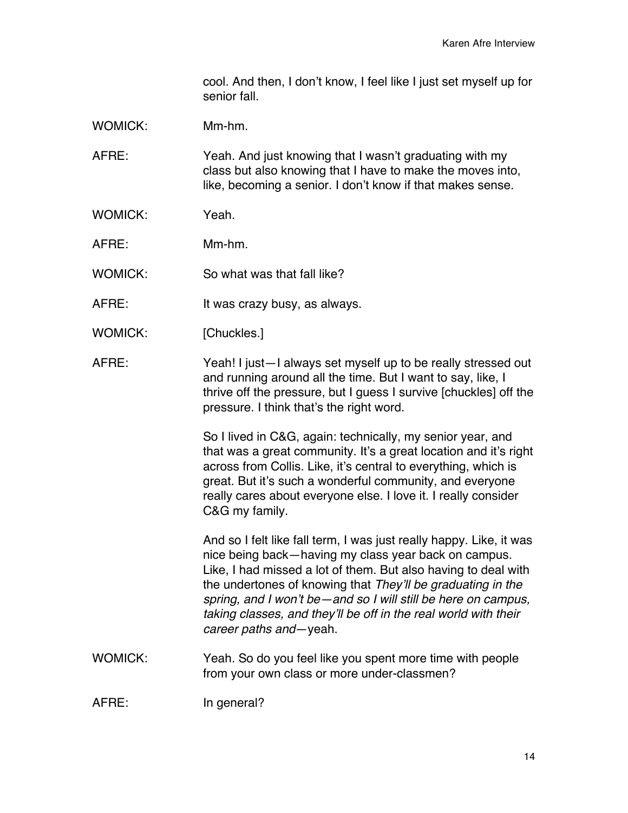cool. And then, I don't know, I feel like I just set myself up for senior fall.

WOMICK: Mm-hm.

AFRE: Yeah. And just knowing that I wasn't graduating with my class but also knowing that I have to make the moves into, like, becoming a senior. I don't know if that makes sense.

- WOMICK: Yeah
- AFRE: Mm-hm.
- WOMICK: So what was that fall like?
- AFRE: It was crazy busy, as always.
- WOMICK: [Chuckles.]
- AFRE: Yeah! I just—I always set myself up to be really stressed out and running around all the time. But I want to say, like, I thrive off the pressure, but I guess I survive [chuckles] off the pressure. I think that's the right word.

So I lived in C&G, again: technically, my senior year, and that was a great community. It's a great location and it's right across from Collis. Like, it's central to everything, which is great. But it's such a wonderful community, and everyone really cares about everyone else. I love it. I really consider C&G my family.

And so I felt like fall term, I was just really happy. Like, it was nice being back—having my class year back on campus. Like, I had missed a lot of them. But also having to deal with the undertones of knowing that *They'll be graduating in the spring, and I won't be—and so I will still be here on campus, taking classes, and they'll be off in the real world with their career paths and*—yeah.

WOMICK: Yeah. So do you feel like you spent more time with people from your own class or more under-classmen?

AFRE: In general?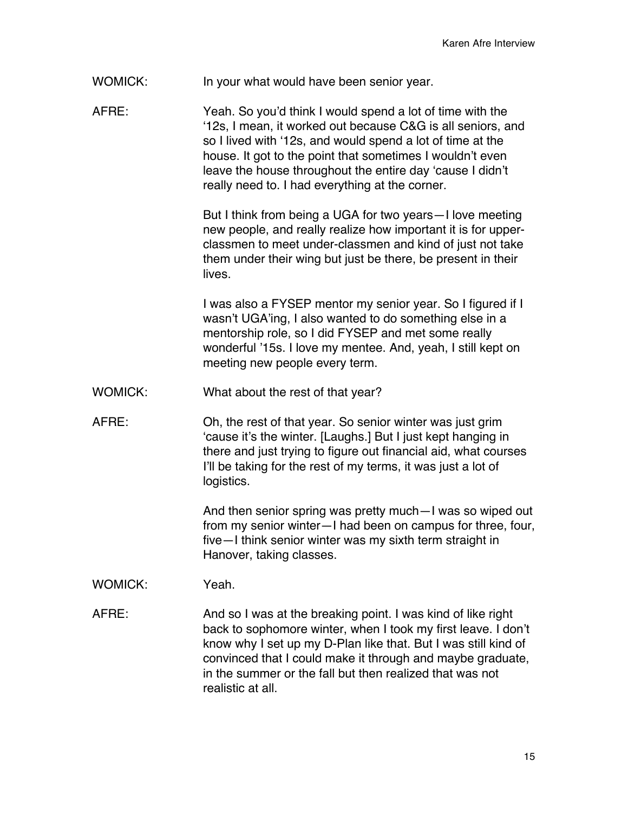WOMICK: In your what would have been senior year.

AFRE: Yeah. So you'd think I would spend a lot of time with the '12s, I mean, it worked out because C&G is all seniors, and so I lived with '12s, and would spend a lot of time at the house. It got to the point that sometimes I wouldn't even leave the house throughout the entire day 'cause I didn't really need to. I had everything at the corner.

> But I think from being a UGA for two years—I love meeting new people, and really realize how important it is for upperclassmen to meet under-classmen and kind of just not take them under their wing but just be there, be present in their **lives**

> I was also a FYSEP mentor my senior year. So I figured if I wasn't UGA'ing, I also wanted to do something else in a mentorship role, so I did FYSEP and met some really wonderful '15s. I love my mentee. And, yeah, I still kept on meeting new people every term.

- WOMICK: What about the rest of that year?
- AFRE: Oh, the rest of that year. So senior winter was just grim 'cause it's the winter. [Laughs.] But I just kept hanging in there and just trying to figure out financial aid, what courses I'll be taking for the rest of my terms, it was just a lot of logistics.

And then senior spring was pretty much—I was so wiped out from my senior winter—I had been on campus for three, four, five—I think senior winter was my sixth term straight in Hanover, taking classes.

- WOMICK: Yeah.
- AFRE: And so I was at the breaking point. I was kind of like right back to sophomore winter, when I took my first leave. I don't know why I set up my D-Plan like that. But I was still kind of convinced that I could make it through and maybe graduate, in the summer or the fall but then realized that was not realistic at all.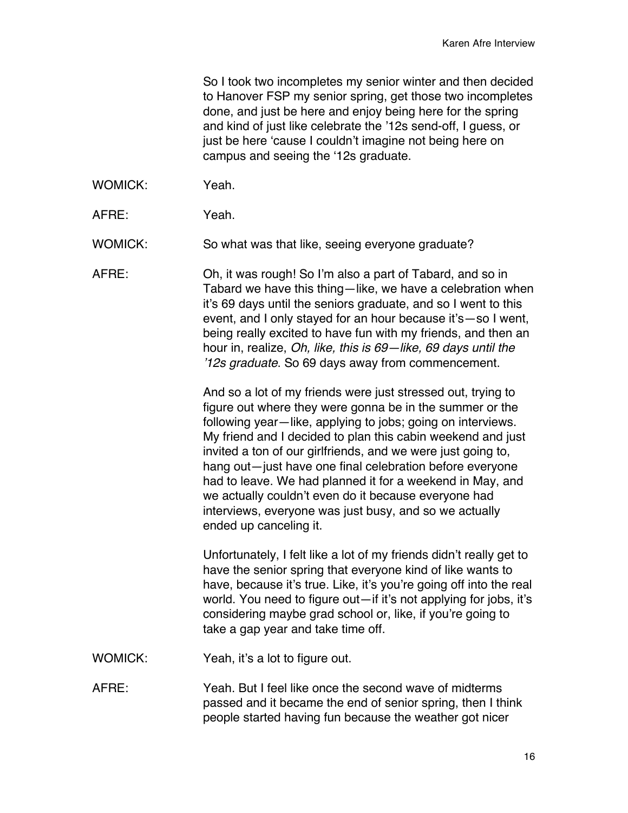So I took two incompletes my senior winter and then decided to Hanover FSP my senior spring, get those two incompletes done, and just be here and enjoy being here for the spring and kind of just like celebrate the '12s send-off, I guess, or just be here 'cause I couldn't imagine not being here on campus and seeing the '12s graduate.

- WOMICK: Yeah.
- AFRE: Yeah.

WOMICK: So what was that like, seeing everyone graduate?

AFRE: Oh, it was rough! So I'm also a part of Tabard, and so in Tabard we have this thing—like, we have a celebration when it's 69 days until the seniors graduate, and so I went to this event, and I only stayed for an hour because it's—so I went, being really excited to have fun with my friends, and then an hour in, realize, *Oh, like, this is 69—like, 69 days until the '12s graduate*. So 69 days away from commencement.

> And so a lot of my friends were just stressed out, trying to figure out where they were gonna be in the summer or the following year—like, applying to jobs; going on interviews. My friend and I decided to plan this cabin weekend and just invited a ton of our girlfriends, and we were just going to, hang out—just have one final celebration before everyone had to leave. We had planned it for a weekend in May, and we actually couldn't even do it because everyone had interviews, everyone was just busy, and so we actually ended up canceling it.

Unfortunately, I felt like a lot of my friends didn't really get to have the senior spring that everyone kind of like wants to have, because it's true. Like, it's you're going off into the real world. You need to figure out—if it's not applying for jobs, it's considering maybe grad school or, like, if you're going to take a gap year and take time off.

- WOMICK: Yeah, it's a lot to figure out.
- AFRE: Yeah. But I feel like once the second wave of midterms passed and it became the end of senior spring, then I think people started having fun because the weather got nicer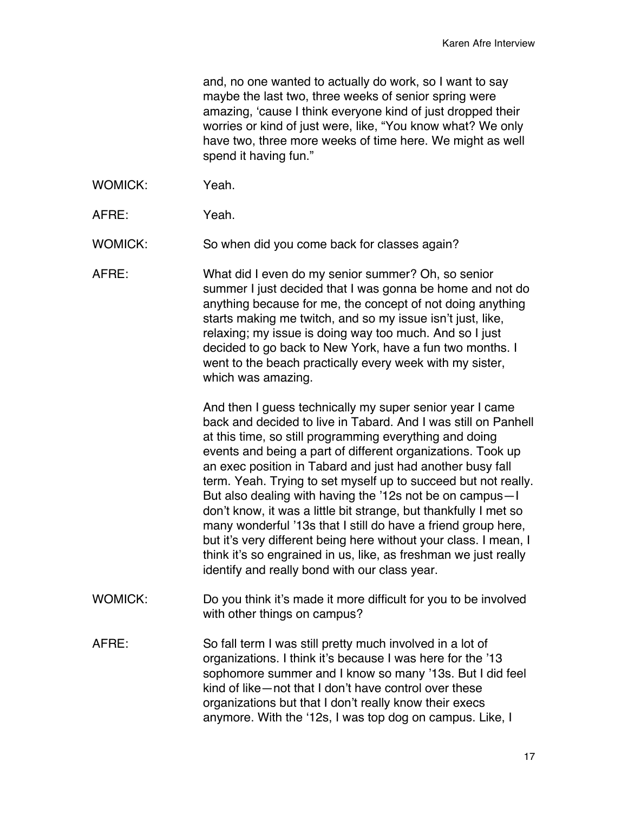and, no one wanted to actually do work, so I want to say maybe the last two, three weeks of senior spring were amazing, 'cause I think everyone kind of just dropped their worries or kind of just were, like, "You know what? We only have two, three more weeks of time here. We might as well spend it having fun."

- WOMICK: Yeah.
- AFRE: Yeah.

WOMICK: So when did you come back for classes again?

AFRE: What did I even do my senior summer? Oh, so senior summer I just decided that I was gonna be home and not do anything because for me, the concept of not doing anything starts making me twitch, and so my issue isn't just, like, relaxing; my issue is doing way too much. And so I just decided to go back to New York, have a fun two months. I went to the beach practically every week with my sister, which was amazing.

> And then I guess technically my super senior year I came back and decided to live in Tabard. And I was still on Panhell at this time, so still programming everything and doing events and being a part of different organizations. Took up an exec position in Tabard and just had another busy fall term. Yeah. Trying to set myself up to succeed but not really. But also dealing with having the '12s not be on campus—I don't know, it was a little bit strange, but thankfully I met so many wonderful '13s that I still do have a friend group here, but it's very different being here without your class. I mean, I think it's so engrained in us, like, as freshman we just really identify and really bond with our class year.

- WOMICK: Do you think it's made it more difficult for you to be involved with other things on campus?
- AFRE: So fall term I was still pretty much involved in a lot of organizations. I think it's because I was here for the '13 sophomore summer and I know so many '13s. But I did feel kind of like—not that I don't have control over these organizations but that I don't really know their execs anymore. With the '12s, I was top dog on campus. Like, I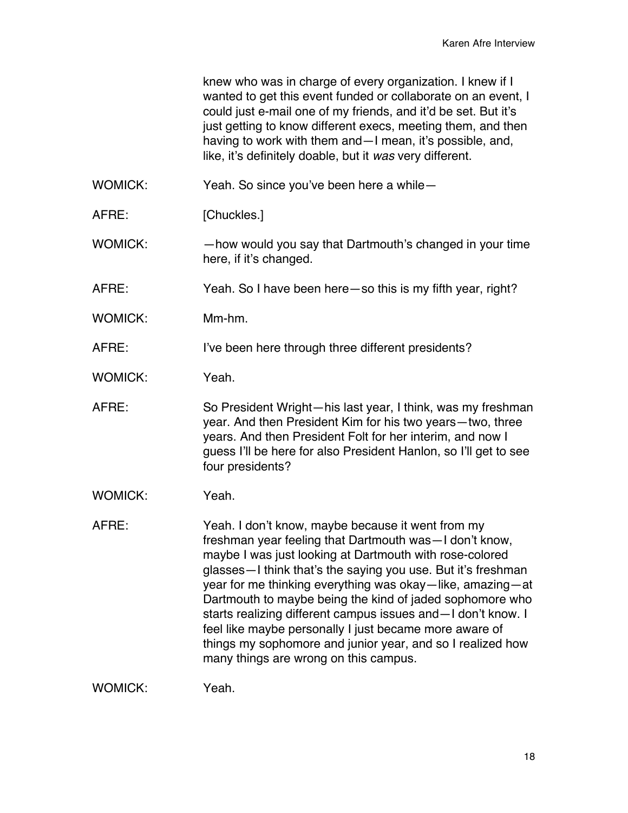knew who was in charge of every organization. I knew if I wanted to get this event funded or collaborate on an event. I could just e-mail one of my friends, and it'd be set. But it's just getting to know different execs, meeting them, and then having to work with them and—I mean, it's possible, and, like, it's definitely doable, but it *was* very different.

WOMICK: Yeah. So since you've been here a while—

- AFRE: [Chuckles.]
- WOMICK: —how would you say that Dartmouth's changed in your time here, if it's changed.
- AFRE: Yeah. So I have been here—so this is my fifth year, right?
- WOMICK: Mm-hm.

AFRE: I've been here through three different presidents?

- WOMICK: Yeah.
- AFRE: So President Wright—his last year, I think, was my freshman year. And then President Kim for his two years—two, three years. And then President Folt for her interim, and now I guess I'll be here for also President Hanlon, so I'll get to see four presidents?
- WOMICK: Yeah.
- AFRE: Yeah. I don't know, maybe because it went from my freshman year feeling that Dartmouth was—I don't know, maybe I was just looking at Dartmouth with rose-colored glasses—I think that's the saying you use. But it's freshman year for me thinking everything was okay—like, amazing—at Dartmouth to maybe being the kind of jaded sophomore who starts realizing different campus issues and—I don't know. I feel like maybe personally I just became more aware of things my sophomore and junior year, and so I realized how many things are wrong on this campus.

WOMICK: Yeah.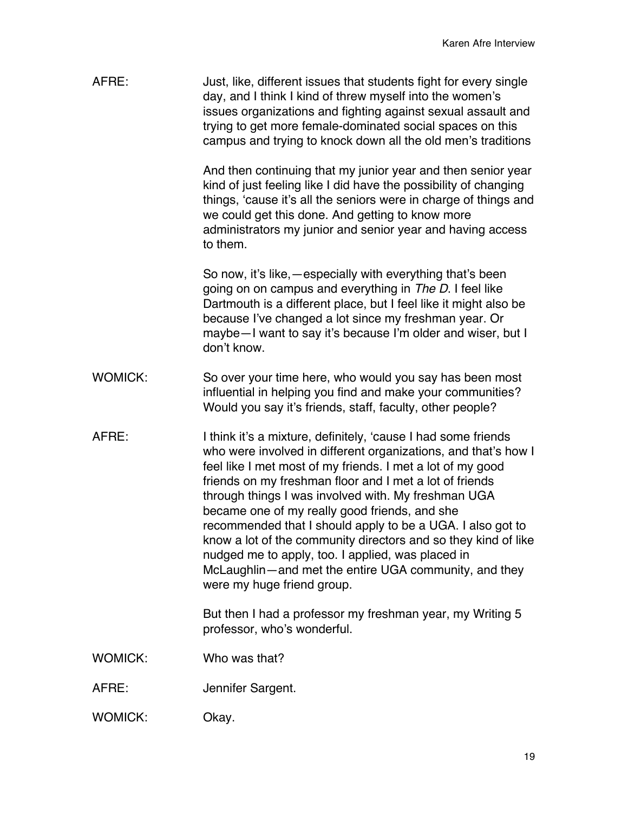| AFRE:          | Just, like, different issues that students fight for every single<br>day, and I think I kind of threw myself into the women's<br>issues organizations and fighting against sexual assault and<br>trying to get more female-dominated social spaces on this<br>campus and trying to knock down all the old men's traditions                                                                                                                                                                                                                                                                                                                   |
|----------------|----------------------------------------------------------------------------------------------------------------------------------------------------------------------------------------------------------------------------------------------------------------------------------------------------------------------------------------------------------------------------------------------------------------------------------------------------------------------------------------------------------------------------------------------------------------------------------------------------------------------------------------------|
|                | And then continuing that my junior year and then senior year<br>kind of just feeling like I did have the possibility of changing<br>things, 'cause it's all the seniors were in charge of things and<br>we could get this done. And getting to know more<br>administrators my junior and senior year and having access<br>to them.                                                                                                                                                                                                                                                                                                           |
|                | So now, it's like, - especially with everything that's been<br>going on on campus and everything in The D. I feel like<br>Dartmouth is a different place, but I feel like it might also be<br>because I've changed a lot since my freshman year. Or<br>maybe-I want to say it's because I'm older and wiser, but I<br>don't know.                                                                                                                                                                                                                                                                                                            |
| <b>WOMICK:</b> | So over your time here, who would you say has been most<br>influential in helping you find and make your communities?<br>Would you say it's friends, staff, faculty, other people?                                                                                                                                                                                                                                                                                                                                                                                                                                                           |
| AFRE:          | I think it's a mixture, definitely, 'cause I had some friends<br>who were involved in different organizations, and that's how I<br>feel like I met most of my friends. I met a lot of my good<br>friends on my freshman floor and I met a lot of friends<br>through things I was involved with. My freshman UGA<br>became one of my really good friends, and she<br>recommended that I should apply to be a UGA. I also got to<br>know a lot of the community directors and so they kind of like<br>nudged me to apply, too. I applied, was placed in<br>McLaughlin-and met the entire UGA community, and they<br>were my huge friend group. |
|                | But then I had a professor my freshman year, my Writing 5<br>professor, who's wonderful.                                                                                                                                                                                                                                                                                                                                                                                                                                                                                                                                                     |
| <b>WOMICK:</b> | Who was that?                                                                                                                                                                                                                                                                                                                                                                                                                                                                                                                                                                                                                                |
| AFRE:          | Jennifer Sargent.                                                                                                                                                                                                                                                                                                                                                                                                                                                                                                                                                                                                                            |
| WOMICK:        | Okay.                                                                                                                                                                                                                                                                                                                                                                                                                                                                                                                                                                                                                                        |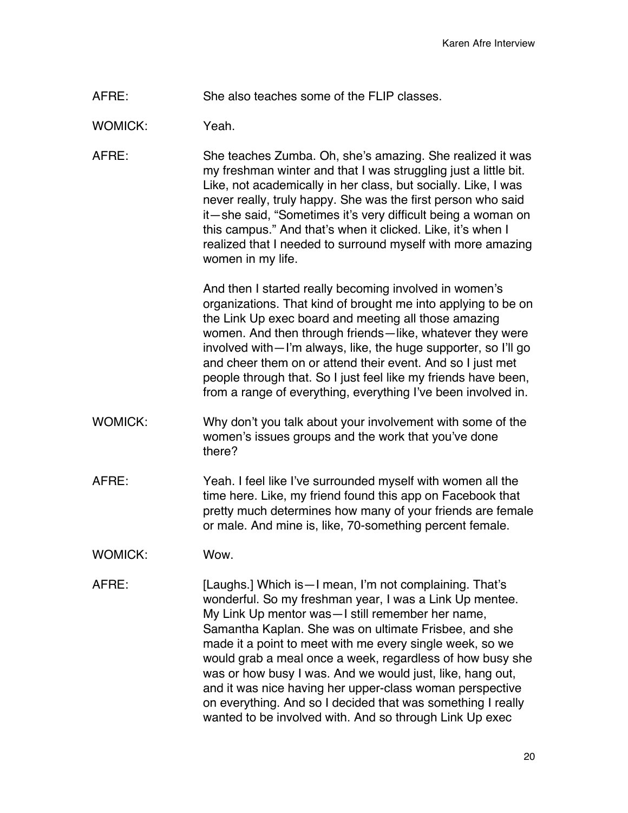AFRE: She also teaches some of the FLIP classes.

WOMICK: Yeah

AFRE: She teaches Zumba. Oh, she's amazing. She realized it was my freshman winter and that I was struggling just a little bit. Like, not academically in her class, but socially. Like, I was never really, truly happy. She was the first person who said it—she said, "Sometimes it's very difficult being a woman on this campus." And that's when it clicked. Like, it's when I realized that I needed to surround myself with more amazing women in my life.

> And then I started really becoming involved in women's organizations. That kind of brought me into applying to be on the Link Up exec board and meeting all those amazing women. And then through friends—like, whatever they were involved with—I'm always, like, the huge supporter, so I'll go and cheer them on or attend their event. And so I just met people through that. So I just feel like my friends have been, from a range of everything, everything I've been involved in.

- WOMICK: Why don't you talk about your involvement with some of the women's issues groups and the work that you've done there?
- AFRE: Yeah. I feel like I've surrounded myself with women all the time here. Like, my friend found this app on Facebook that pretty much determines how many of your friends are female or male. And mine is, like, 70-something percent female.
- WOMICK: Wow.
- AFRE: [Laughs.] Which is—I mean, I'm not complaining. That's wonderful. So my freshman year, I was a Link Up mentee. My Link Up mentor was—I still remember her name, Samantha Kaplan. She was on ultimate Frisbee, and she made it a point to meet with me every single week, so we would grab a meal once a week, regardless of how busy she was or how busy I was. And we would just, like, hang out, and it was nice having her upper-class woman perspective on everything. And so I decided that was something I really wanted to be involved with. And so through Link Up exec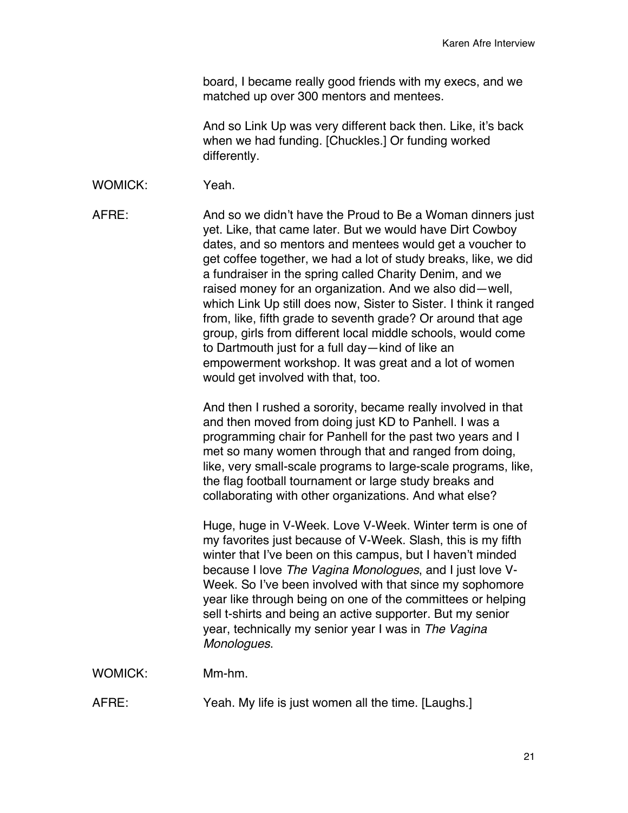board, I became really good friends with my execs, and we matched up over 300 mentors and mentees.

And so Link Up was very different back then. Like, it's back when we had funding. [Chuckles.] Or funding worked differently.

WOMICK: Yeah.

AFRE: And so we didn't have the Proud to Be a Woman dinners just yet. Like, that came later. But we would have Dirt Cowboy dates, and so mentors and mentees would get a voucher to get coffee together, we had a lot of study breaks, like, we did a fundraiser in the spring called Charity Denim, and we raised money for an organization. And we also did—well, which Link Up still does now, Sister to Sister. I think it ranged from, like, fifth grade to seventh grade? Or around that age group, girls from different local middle schools, would come to Dartmouth just for a full day—kind of like an empowerment workshop. It was great and a lot of women would get involved with that, too.

> And then I rushed a sorority, became really involved in that and then moved from doing just KD to Panhell. I was a programming chair for Panhell for the past two years and I met so many women through that and ranged from doing, like, very small-scale programs to large-scale programs, like, the flag football tournament or large study breaks and collaborating with other organizations. And what else?

Huge, huge in V-Week. Love V-Week. Winter term is one of my favorites just because of V-Week. Slash, this is my fifth winter that I've been on this campus, but I haven't minded because I love *The Vagina Monologues*, and I just love V-Week. So I've been involved with that since my sophomore year like through being on one of the committees or helping sell t-shirts and being an active supporter. But my senior year, technically my senior year I was in *The Vagina Monologues*.

WOMICK: Mm-hm.

AFRE: Yeah. My life is just women all the time. [Laughs.]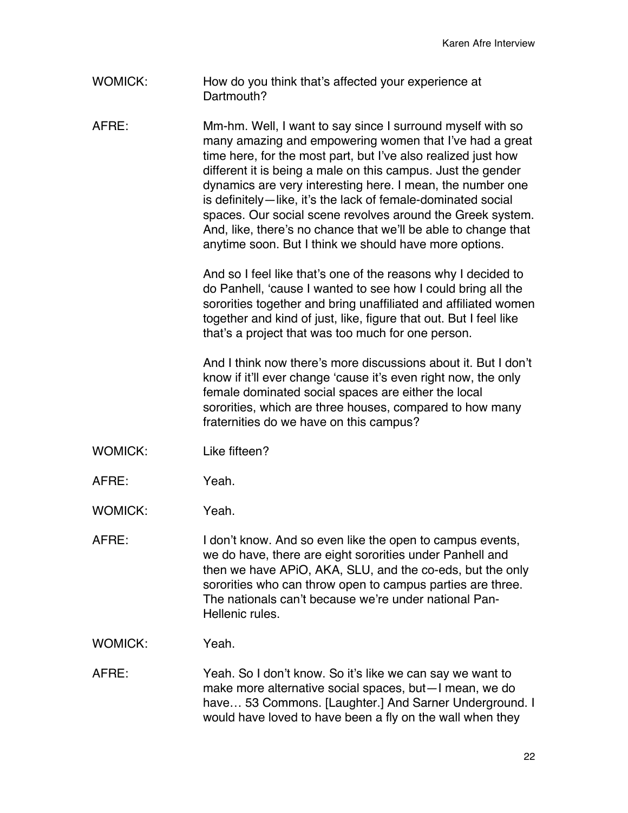WOMICK: How do you think that's affected your experience at Dartmouth?

AFRE: Mm-hm. Well, I want to say since I surround myself with so many amazing and empowering women that I've had a great time here, for the most part, but I've also realized just how different it is being a male on this campus. Just the gender dynamics are very interesting here. I mean, the number one is definitely—like, it's the lack of female-dominated social spaces. Our social scene revolves around the Greek system. And, like, there's no chance that we'll be able to change that anytime soon. But I think we should have more options.

> And so I feel like that's one of the reasons why I decided to do Panhell, 'cause I wanted to see how I could bring all the sororities together and bring unaffiliated and affiliated women together and kind of just, like, figure that out. But I feel like that's a project that was too much for one person.

> And I think now there's more discussions about it. But I don't know if it'll ever change 'cause it's even right now, the only female dominated social spaces are either the local sororities, which are three houses, compared to how many fraternities do we have on this campus?

- WOMICK: Like fifteen?
- AFRE: Yeah.
- WOMICK: Yeah.

AFRE: I don't know. And so even like the open to campus events, we do have, there are eight sororities under Panhell and then we have APiO, AKA, SLU, and the co-eds, but the only sororities who can throw open to campus parties are three. The nationals can't because we're under national Pan-Hellenic rules.

WOMICK: Yeah.

AFRE: Yeah. So I don't know. So it's like we can say we want to make more alternative social spaces, but—I mean, we do have… 53 Commons. [Laughter.] And Sarner Underground. I would have loved to have been a fly on the wall when they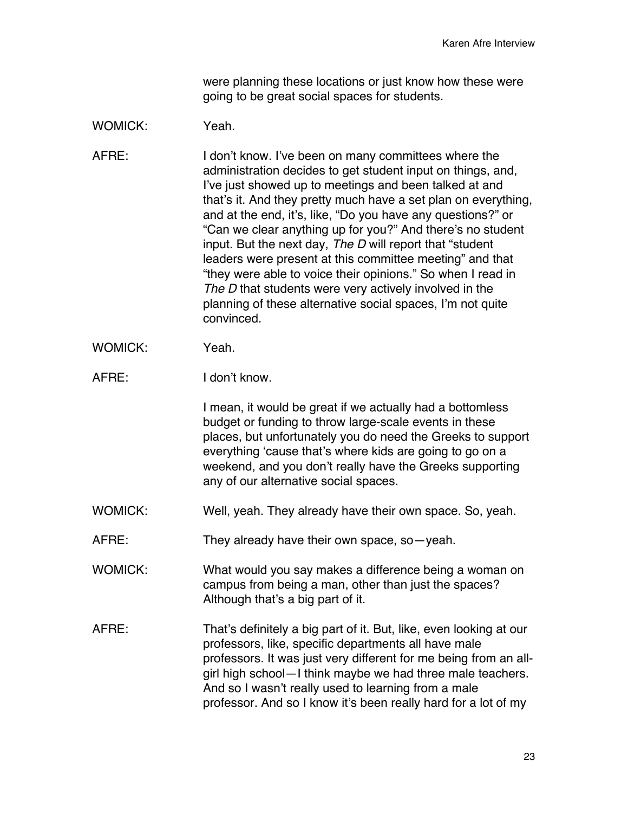were planning these locations or just know how these were going to be great social spaces for students.

## WOMICK: Yeah

AFRE: I don't know. I've been on many committees where the administration decides to get student input on things, and, I've just showed up to meetings and been talked at and that's it. And they pretty much have a set plan on everything, and at the end, it's, like, "Do you have any questions?" or "Can we clear anything up for you?" And there's no student input. But the next day, *The D* will report that "student leaders were present at this committee meeting" and that "they were able to voice their opinions." So when I read in *The D* that students were very actively involved in the planning of these alternative social spaces, I'm not quite convinced.

- WOMICK: Yeah.
- AFRE: I don't know.

I mean, it would be great if we actually had a bottomless budget or funding to throw large-scale events in these places, but unfortunately you do need the Greeks to support everything 'cause that's where kids are going to go on a weekend, and you don't really have the Greeks supporting any of our alternative social spaces.

- WOMICK: Well, yeah. They already have their own space. So, yeah.
- AFRE: They already have their own space, so—yeah.

WOMICK: What would you say makes a difference being a woman on campus from being a man, other than just the spaces? Although that's a big part of it.

AFRE: That's definitely a big part of it. But, like, even looking at our professors, like, specific departments all have male professors. It was just very different for me being from an allgirl high school—I think maybe we had three male teachers. And so I wasn't really used to learning from a male professor. And so I know it's been really hard for a lot of my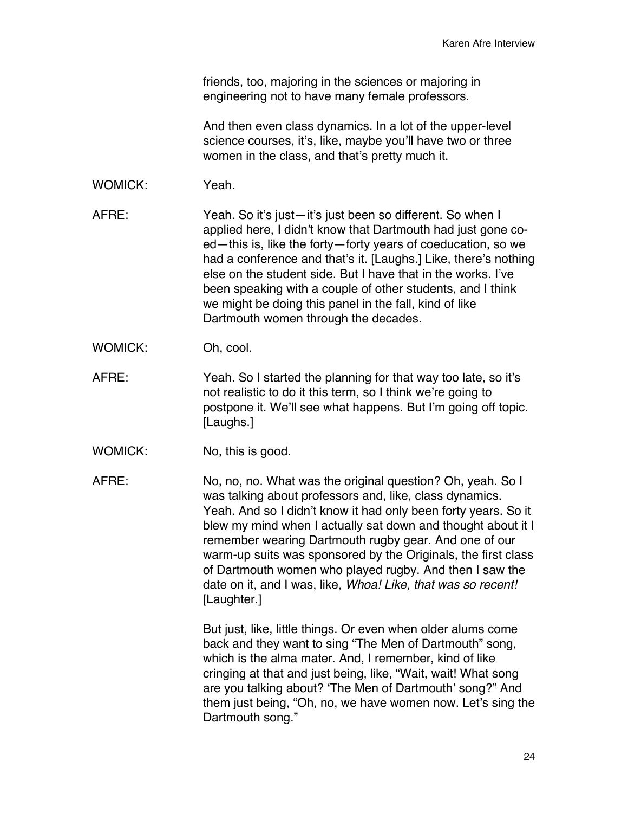friends, too, majoring in the sciences or majoring in engineering not to have many female professors.

And then even class dynamics. In a lot of the upper-level science courses, it's, like, maybe you'll have two or three women in the class, and that's pretty much it.

WOMICK: Yeah.

AFRE: Yeah. So it's just—it's just been so different. So when I applied here, I didn't know that Dartmouth had just gone coed—this is, like the forty—forty years of coeducation, so we had a conference and that's it. [Laughs.] Like, there's nothing else on the student side. But I have that in the works. I've been speaking with a couple of other students, and I think we might be doing this panel in the fall, kind of like Dartmouth women through the decades.

- WOMICK: Oh, cool.
- AFRE: Yeah. So I started the planning for that way too late, so it's not realistic to do it this term, so I think we're going to postpone it. We'll see what happens. But I'm going off topic. [Laughs.]
- WOMICK: No, this is good.

AFRE: No, no, no. What was the original question? Oh, yeah. So I was talking about professors and, like, class dynamics. Yeah. And so I didn't know it had only been forty years. So it blew my mind when I actually sat down and thought about it I remember wearing Dartmouth rugby gear. And one of our warm-up suits was sponsored by the Originals, the first class of Dartmouth women who played rugby. And then I saw the date on it, and I was, like, *Whoa! Like, that was so recent!* [Laughter.]

> But just, like, little things. Or even when older alums come back and they want to sing "The Men of Dartmouth" song, which is the alma mater. And, I remember, kind of like cringing at that and just being, like, "Wait, wait! What song are you talking about? 'The Men of Dartmouth' song?" And them just being, "Oh, no, we have women now. Let's sing the Dartmouth song."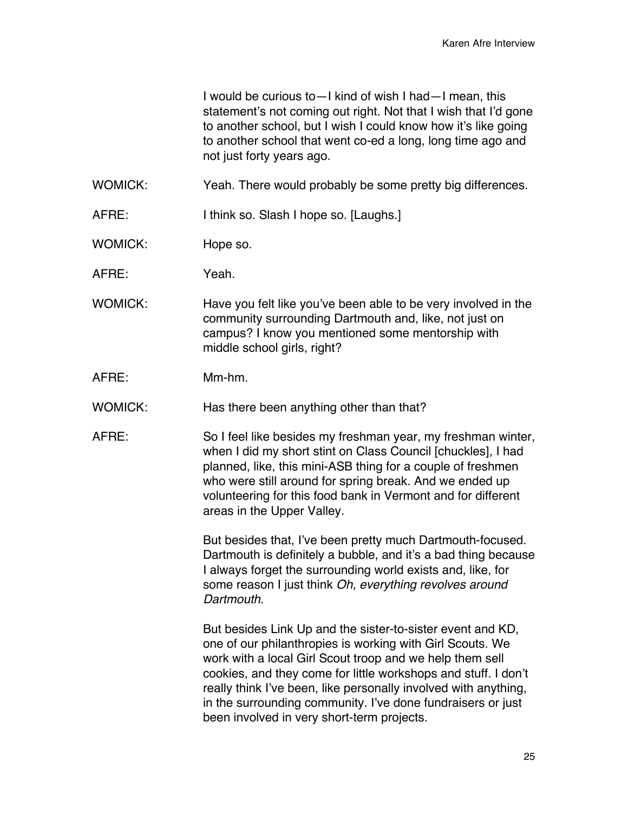I would be curious to—I kind of wish I had—I mean, this statement's not coming out right. Not that I wish that I'd gone to another school, but I wish I could know how it's like going to another school that went co-ed a long, long time ago and not just forty years ago.

- WOMICK: Yeah. There would probably be some pretty big differences.
- AFRE: I think so. Slash I hope so. [Laughs.]
- WOMICK: Hope so.
- AFRE: Yeah.
- WOMICK: Have you felt like you've been able to be very involved in the community surrounding Dartmouth and, like, not just on campus? I know you mentioned some mentorship with middle school girls, right?
- AFRE: Mm-hm.
- WOMICK: Has there been anything other than that?
- AFRE: So I feel like besides my freshman year, my freshman winter, when I did my short stint on Class Council [chuckles], I had planned, like, this mini-ASB thing for a couple of freshmen who were still around for spring break. And we ended up volunteering for this food bank in Vermont and for different areas in the Upper Valley.

But besides that, I've been pretty much Dartmouth-focused. Dartmouth is definitely a bubble, and it's a bad thing because I always forget the surrounding world exists and, like, for some reason I just think *Oh, everything revolves around Dartmouth*.

But besides Link Up and the sister-to-sister event and KD, one of our philanthropies is working with Girl Scouts. We work with a local Girl Scout troop and we help them sell cookies, and they come for little workshops and stuff. I don't really think I've been, like personally involved with anything, in the surrounding community. I've done fundraisers or just been involved in very short-term projects.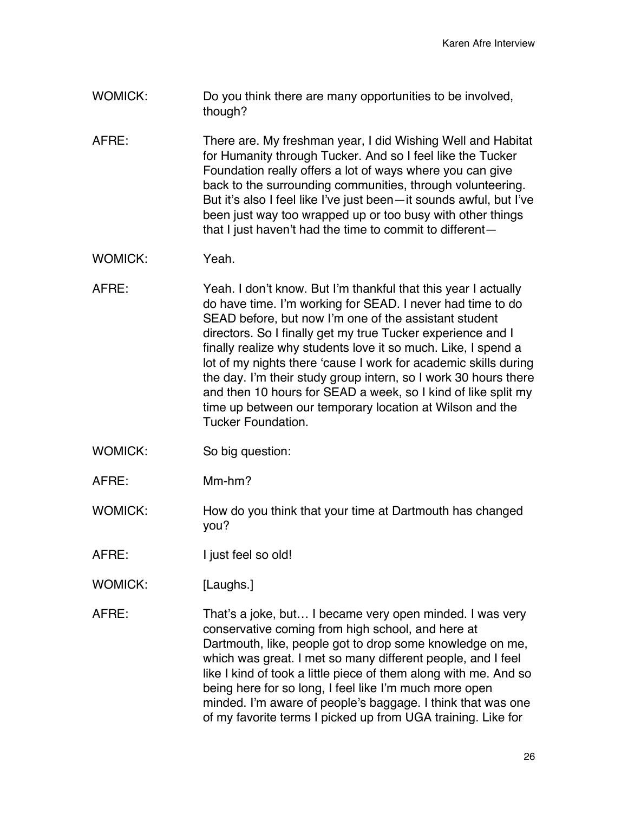- WOMICK: Do you think there are many opportunities to be involved, though?
- AFRE: There are. My freshman year, I did Wishing Well and Habitat for Humanity through Tucker. And so I feel like the Tucker Foundation really offers a lot of ways where you can give back to the surrounding communities, through volunteering. But it's also I feel like I've just been—it sounds awful, but I've been just way too wrapped up or too busy with other things that I just haven't had the time to commit to different—
- WOMICK: Yeah.
- AFRE: Yeah. I don't know. But I'm thankful that this year I actually do have time. I'm working for SEAD. I never had time to do SEAD before, but now I'm one of the assistant student directors. So I finally get my true Tucker experience and I finally realize why students love it so much. Like, I spend a lot of my nights there 'cause I work for academic skills during the day. I'm their study group intern, so I work 30 hours there and then 10 hours for SEAD a week, so I kind of like split my time up between our temporary location at Wilson and the Tucker Foundation.
- WOMICK: So big question:
- AFRE: Mm-hm?
- WOMICK: How do you think that your time at Dartmouth has changed you?
- AFRE: I just feel so old!
- WOMICK: [Laughs.]
- AFRE: That's a joke, but… I became very open minded. I was very conservative coming from high school, and here at Dartmouth, like, people got to drop some knowledge on me, which was great. I met so many different people, and I feel like I kind of took a little piece of them along with me. And so being here for so long, I feel like I'm much more open minded. I'm aware of people's baggage. I think that was one of my favorite terms I picked up from UGA training. Like for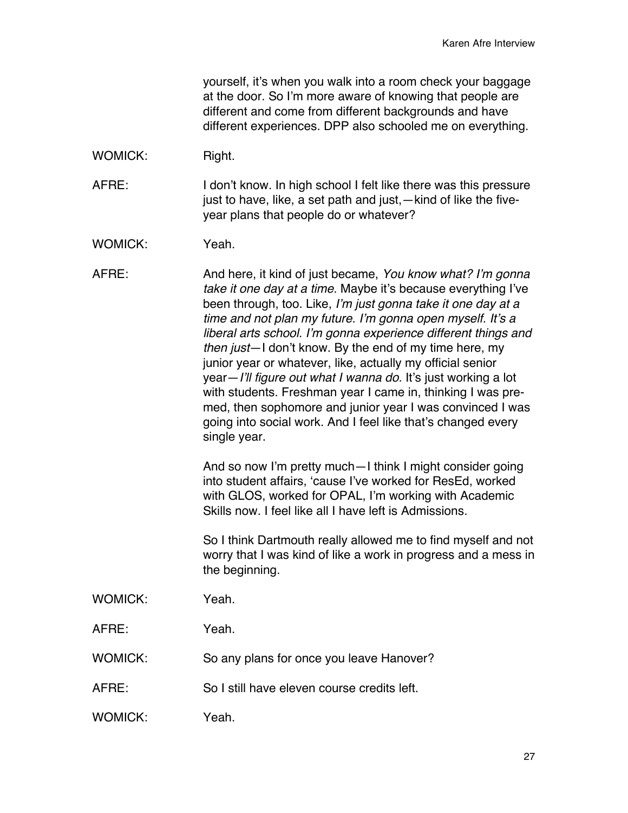yourself, it's when you walk into a room check your baggage at the door. So I'm more aware of knowing that people are different and come from different backgrounds and have different experiences. DPP also schooled me on everything.

WOMICK: Right.

AFRE: I don't know. In high school I felt like there was this pressure just to have, like, a set path and just,—kind of like the fiveyear plans that people do or whatever?

WOMICK: Yeah.

AFRE: And here, it kind of just became, *You know what? I'm gonna take it one day at a time*. Maybe it's because everything I've been through, too. Like, *I'm just gonna take it one day at a time and not plan my future. I'm gonna open myself. It's a liberal arts school. I'm gonna experience different things and then just*—I don't know. By the end of my time here, my junior year or whatever, like, actually my official senior year—*I'll figure out what I wanna do.* It's just working a lot with students. Freshman year I came in, thinking I was premed, then sophomore and junior year I was convinced I was going into social work. And I feel like that's changed every single year.

> And so now I'm pretty much—I think I might consider going into student affairs, 'cause I've worked for ResEd, worked with GLOS, worked for OPAL, I'm working with Academic Skills now. I feel like all I have left is Admissions.

So I think Dartmouth really allowed me to find myself and not worry that I was kind of like a work in progress and a mess in the beginning.

- WOMICK: Yeah.
- AFRE: Yeah.
- WOMICK: So any plans for once you leave Hanover?
- AFRE: So I still have eleven course credits left.
- WOMICK: Yeah.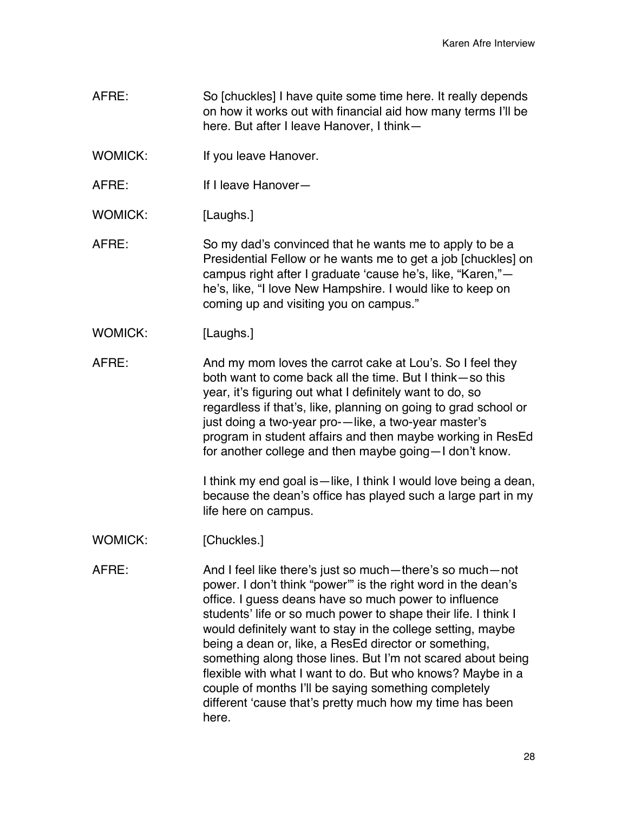- AFRE: So [chuckles] I have quite some time here. It really depends on how it works out with financial aid how many terms I'll be here. But after I leave Hanover, I think—
- WOMICK: If you leave Hanover.
- AFRE: If I leave Hanover—
- WOMICK: [Laughs.]
- AFRE: So my dad's convinced that he wants me to apply to be a Presidential Fellow or he wants me to get a job [chuckles] on campus right after I graduate 'cause he's, like, "Karen," he's, like, "I love New Hampshire. I would like to keep on coming up and visiting you on campus."
- WOMICK: [Laughs.]
- AFRE: And my mom loves the carrot cake at Lou's. So I feel they both want to come back all the time. But I think—so this year, it's figuring out what I definitely want to do, so regardless if that's, like, planning on going to grad school or just doing a two-year pro-—like, a two-year master's program in student affairs and then maybe working in ResEd for another college and then maybe going—I don't know.

I think my end goal is—like, I think I would love being a dean, because the dean's office has played such a large part in my life here on campus.

- WOMICK: [Chuckles.]
- AFRE: And I feel like there's just so much—there's so much—not power. I don't think "power'" is the right word in the dean's office. I guess deans have so much power to influence students' life or so much power to shape their life. I think I would definitely want to stay in the college setting, maybe being a dean or, like, a ResEd director or something, something along those lines. But I'm not scared about being flexible with what I want to do. But who knows? Maybe in a couple of months I'll be saying something completely different 'cause that's pretty much how my time has been here.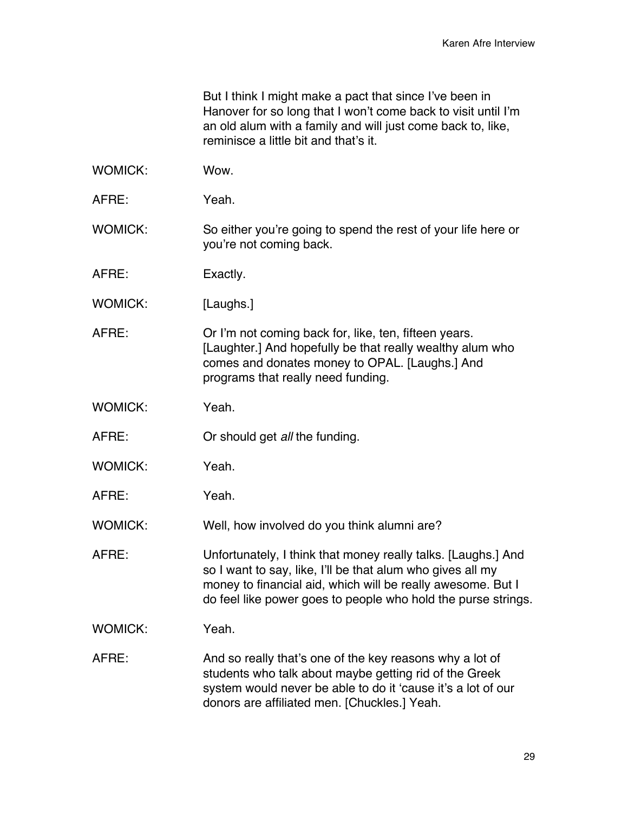But I think I might make a pact that since I've been in Hanover for so long that I won't come back to visit until I'm an old alum with a family and will just come back to, like, reminisce a little bit and that's it.

- WOMICK: Wow.
- AFRE: Yeah.
- WOMICK: So either you're going to spend the rest of your life here or you're not coming back.
- AFRE: Exactly.
- WOMICK: [Laughs.]
- AFRE: Or I'm not coming back for, like, ten, fifteen years. [Laughter.] And hopefully be that really wealthy alum who comes and donates money to OPAL. [Laughs.] And programs that really need funding.
- WOMICK: Yeah
- AFRE: Or should get *all* the funding.
- WOMICK: Yeah.
- AFRE: Yeah.
- WOMICK: Well, how involved do you think alumni are?
- AFRE: Unfortunately, I think that money really talks. [Laughs.] And so I want to say, like, I'll be that alum who gives all my money to financial aid, which will be really awesome. But I do feel like power goes to people who hold the purse strings.
- WOMICK: Yeah
- AFRE: And so really that's one of the key reasons why a lot of students who talk about maybe getting rid of the Greek system would never be able to do it 'cause it's a lot of our donors are affiliated men. [Chuckles.] Yeah.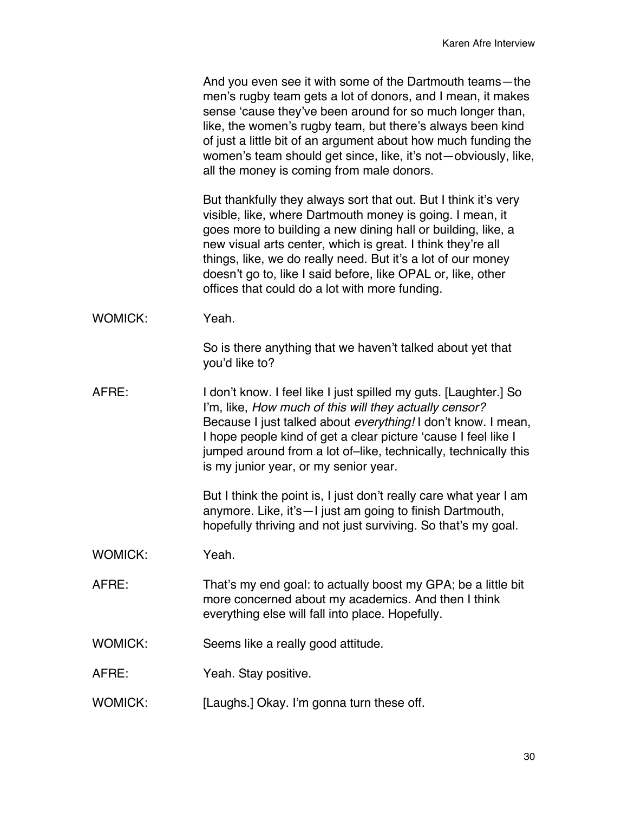| And you even see it with some of the Dartmouth teams-the       |  |
|----------------------------------------------------------------|--|
| men's rugby team gets a lot of donors, and I mean, it makes    |  |
| sense 'cause they've been around for so much longer than,      |  |
| like, the women's rugby team, but there's always been kind     |  |
| of just a little bit of an argument about how much funding the |  |
| women's team should get since, like, it's not-obviously, like, |  |
| all the money is coming from male donors.                      |  |

But thankfully they always sort that out. But I think it's very visible, like, where Dartmouth money is going. I mean, it goes more to building a new dining hall or building, like, a new visual arts center, which is great. I think they're all things, like, we do really need. But it's a lot of our money doesn't go to, like I said before, like OPAL or, like, other offices that could do a lot with more funding.

WOMICK: Yeah.

So is there anything that we haven't talked about yet that you'd like to?

AFRE: I don't know. I feel like I just spilled my guts. [Laughter.] So I'm, like, *How much of this will they actually censor?* Because I just talked about *everything!* I don't know. I mean, I hope people kind of get a clear picture 'cause I feel like I jumped around from a lot of–like, technically, technically this is my junior year, or my senior year.

> But I think the point is, I just don't really care what year I am anymore. Like, it's—I just am going to finish Dartmouth, hopefully thriving and not just surviving. So that's my goal.

- WOMICK: Yeah.
- AFRE: That's my end goal: to actually boost my GPA; be a little bit more concerned about my academics. And then I think everything else will fall into place. Hopefully.
- WOMICK: Seems like a really good attitude.
- AFRE: Yeah. Stay positive.
- WOMICK: [Laughs.] Okay. I'm gonna turn these off.